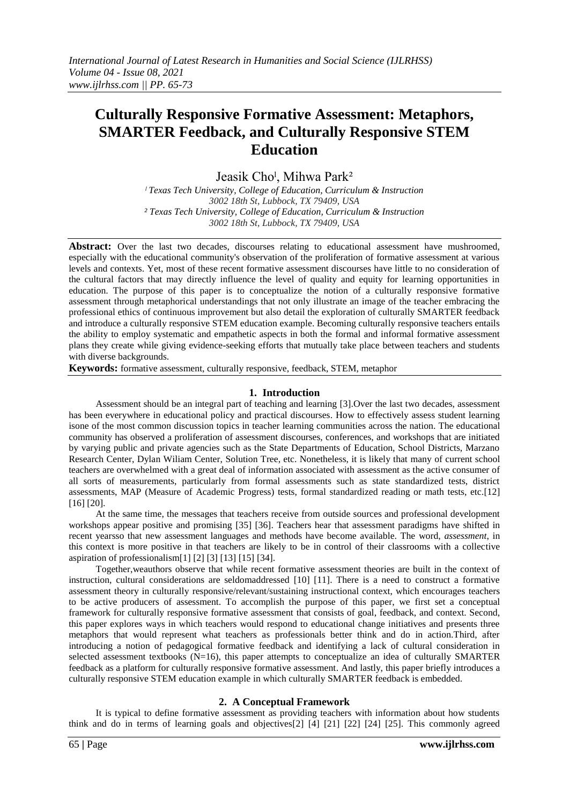# **Culturally Responsive Formative Assessment: Metaphors, SMARTER Feedback, and Culturally Responsive STEM Education**

Jeasik Cho<sup>l</sup>, Mihwa Park<sup>2</sup>

*ˡ Texas Tech University, College of Education, Curriculum & Instruction 3002 18th St, Lubbock, TX 79409, USA ² Texas Tech University, College of Education, Curriculum & Instruction 3002 18th St, Lubbock, TX 79409, USA*

**Abstract:** Over the last two decades, discourses relating to educational assessment have mushroomed, especially with the educational community's observation of the proliferation of formative assessment at various levels and contexts. Yet, most of these recent formative assessment discourses have little to no consideration of the cultural factors that may directly influence the level of quality and equity for learning opportunities in education. The purpose of this paper is to conceptualize the notion of a culturally responsive formative assessment through metaphorical understandings that not only illustrate an image of the teacher embracing the professional ethics of continuous improvement but also detail the exploration of culturally SMARTER feedback and introduce a culturally responsive STEM education example. Becoming culturally responsive teachers entails the ability to employ systematic and empathetic aspects in both the formal and informal formative assessment plans they create while giving evidence-seeking efforts that mutually take place between teachers and students with diverse backgrounds.

**Keywords:** formative assessment, culturally responsive, feedback, STEM, metaphor

# **1. Introduction**

Assessment should be an integral part of teaching and learning [3].Over the last two decades, assessment has been everywhere in educational policy and practical discourses. How to effectively assess student learning isone of the most common discussion topics in teacher learning communities across the nation. The educational community has observed a proliferation of assessment discourses, conferences, and workshops that are initiated by varying public and private agencies such as the State Departments of Education, School Districts, Marzano Research Center, Dylan Wiliam Center, Solution Tree, etc. Nonetheless, it is likely that many of current school teachers are overwhelmed with a great deal of information associated with assessment as the active consumer of all sorts of measurements, particularly from formal assessments such as state standardized tests, district assessments, MAP (Measure of Academic Progress) tests, formal standardized reading or math tests, etc.[12] [16] [20].

At the same time, the messages that teachers receive from outside sources and professional development workshops appear positive and promising [35] [36]. Teachers hear that assessment paradigms have shifted in recent yearsso that new assessment languages and methods have become available. The word, *assessment*, in this context is more positive in that teachers are likely to be in control of their classrooms with a collective aspiration of professionalism[1] [2] [3] [13] [15] [34].

Together,weauthors observe that while recent formative assessment theories are built in the context of instruction, cultural considerations are seldomaddressed [10] [11]. There is a need to construct a formative assessment theory in culturally responsive/relevant/sustaining instructional context, which encourages teachers to be active producers of assessment. To accomplish the purpose of this paper, we first set a conceptual framework for culturally responsive formative assessment that consists of goal, feedback, and context. Second, this paper explores ways in which teachers would respond to educational change initiatives and presents three metaphors that would represent what teachers as professionals better think and do in action.Third, after introducing a notion of pedagogical formative feedback and identifying a lack of cultural consideration in selected assessment textbooks  $(N=16)$ , this paper attempts to conceptualize an idea of culturally SMARTER feedback as a platform for culturally responsive formative assessment. And lastly, this paper briefly introduces a culturally responsive STEM education example in which culturally SMARTER feedback is embedded.

# **2. A Conceptual Framework**

It is typical to define formative assessment as providing teachers with information about how students think and do in terms of learning goals and objectives[2] [4] [21] [22] [24] [25]. This commonly agreed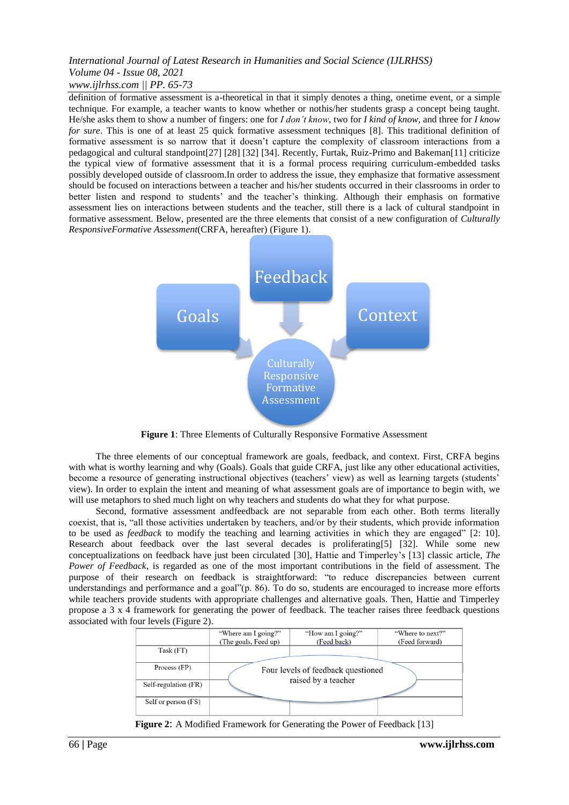# *International Journal of Latest Research in Humanities and Social Science (IJLRHSS) Volume 04 - Issue 08, 2021 www.ijlrhss.com || PP. 65-73*

definition of formative assessment is a-theoretical in that it simply denotes a thing, onetime event, or a simple technique. For example, a teacher wants to know whether or nothis/her students grasp a concept being taught. He/she asks them to show a number of fingers: one for *I don't know*, two for *I kind of know*, and three for *I know for sure*. This is one of at least 25 quick formative assessment techniques [8]. This traditional definition of formative assessment is so narrow that it doesn"t capture the complexity of classroom interactions from a pedagogical and cultural standpoint[27] [28] [32] [34]. Recently, Furtak, Ruiz-Primo and Bakeman[11] criticize the typical view of formative assessment that it is a formal process requiring curriculum-embedded tasks possibly developed outside of classroom.In order to address the issue, they emphasize that formative assessment should be focused on interactions between a teacher and his/her students occurred in their classrooms in order to better listen and respond to students" and the teacher"s thinking. Although their emphasis on formative assessment lies on interactions between students and the teacher, still there is a lack of cultural standpoint in formative assessment. Below, presented are the three elements that consist of a new configuration of *Culturally ResponsiveFormative Assessment*(CRFA, hereafter) (Figure 1).



**Figure 1**: Three Elements of Culturally Responsive Formative Assessment

The three elements of our conceptual framework are goals, feedback, and context. First, CRFA begins with what is worthy learning and why (Goals). Goals that guide CRFA, just like any other educational activities, become a resource of generating instructional objectives (teachers' view) as well as learning targets (students' view). In order to explain the intent and meaning of what assessment goals are of importance to begin with, we will use metaphors to shed much light on why teachers and students do what they for what purpose.

Second, formative assessment andfeedback are not separable from each other. Both terms literally coexist, that is, "all those activities undertaken by teachers, and/or by their students, which provide information to be used as *feedback* to modify the teaching and learning activities in which they are engaged" [2: 10]. Research about feedback over the last several decades is proliferating[5] [32]. While some new conceptualizations on feedback have just been circulated [30], Hattie and Timperley"s [13] classic article, *The Power of Feedback*, is regarded as one of the most important contributions in the field of assessment. The purpose of their research on feedback is straightforward: "to reduce discrepancies between current understandings and performance and a goal"(p. 86). To do so, students are encouraged to increase more efforts while teachers provide students with appropriate challenges and alternative goals. Then, Hattie and Timperley propose a 3 x 4 framework for generating the power of feedback. The teacher raises three feedback questions associated with four levels (Figure 2).

|                      | "Where am I going?"                | "How am I going?"   | "Where to next?" |
|----------------------|------------------------------------|---------------------|------------------|
|                      | (The goals, Feed up)               | (Feed back)         | (Feed forward)   |
| Task (FT)            |                                    |                     |                  |
| Process (FP)         | Four levels of feedback questioned |                     |                  |
| Self-regulation (FR) |                                    | raised by a teacher |                  |
| Self or person (FS)  |                                    |                     |                  |

**Figure 2:** A Modified Framework for Generating the Power of Feedback [13]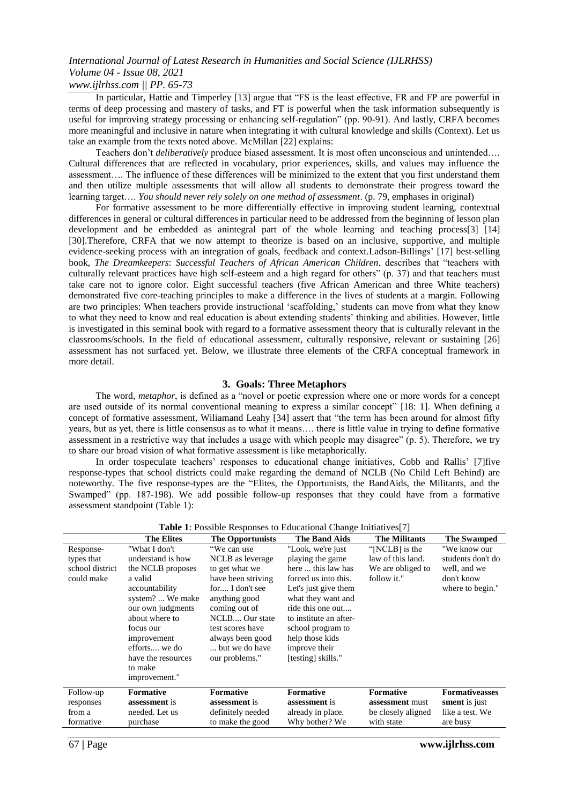# *International Journal of Latest Research in Humanities and Social Science (IJLRHSS) Volume 04 - Issue 08, 2021*

# *www.ijlrhss.com || PP. 65-73*

In particular, Hattie and Timperley [13] argue that "FS is the least effective, FR and FP are powerful in terms of deep processing and mastery of tasks, and FT is powerful when the task information subsequently is useful for improving strategy processing or enhancing self-regulation" (pp. 90-91). And lastly, CRFA becomes more meaningful and inclusive in nature when integrating it with cultural knowledge and skills (Context). Let us take an example from the texts noted above. McMillan [22] explains:

Teachers don"t *deliberatively* produce biased assessment. It is most often unconscious and unintended…. Cultural differences that are reflected in vocabulary, prior experiences, skills, and values may influence the assessment…. The influence of these differences will be minimized to the extent that you first understand them and then utilize multiple assessments that will allow all students to demonstrate their progress toward the learning target…. *You should never rely solely on one method of assessment*. (p. 79, emphases in original)

For formative assessment to be more differentially effective in improving student learning, contextual differences in general or cultural differences in particular need to be addressed from the beginning of lesson plan development and be embedded as anintegral part of the whole learning and teaching process[3] [14] [30].Therefore, CRFA that we now attempt to theorize is based on an inclusive, supportive, and multiple evidence-seeking process with an integration of goals, feedback and context.Ladson-Billings" [17] best-selling book, *The Dreamkeepers*: *Successful Teachers of African American Children*, describes that "teachers with culturally relevant practices have high self-esteem and a high regard for others" (p. 37) and that teachers must take care not to ignore color. Eight successful teachers (five African American and three White teachers) demonstrated five core-teaching principles to make a difference in the lives of students at a margin. Following are two principles: When teachers provide instructional 'scaffolding,' students can move from what they know to what they need to know and real education is about extending students" thinking and abilities. However, little is investigated in this seminal book with regard to a formative assessment theory that is culturally relevant in the classrooms/schools. In the field of educational assessment, culturally responsive, relevant or sustaining [26] assessment has not surfaced yet. Below, we illustrate three elements of the CRFA conceptual framework in more detail.

#### **3. Goals: Three Metaphors**

The word, *metaphor*, is defined as a "novel or poetic expression where one or more words for a concept are used outside of its normal conventional meaning to express a similar concept" [18: 1]. When defining a concept of formative assessment, Wiliamand Leahy [34] assert that "the term has been around for almost fifty years, but as yet, there is little consensus as to what it means…. there is little value in trying to define formative assessment in a restrictive way that includes a usage with which people may disagree" (p. 5). Therefore, we try to share our broad vision of what formative assessment is like metaphorically.

In order tospeculate teachers" responses to educational change initiatives, Cobb and Rallis" [7]five response-types that school districts could make regarding the demand of NCLB (No Child Left Behind) are noteworthy. The five response-types are the "Elites, the Opportunists, the BandAids, the Militants, and the Swamped" (pp. 187-198). We add possible follow-up responses that they could have from a formative assessment standpoint (Table 1):

| <b>Table 1.</b> FOSSIDIC RESPONSES to Equicational Change Initiatives [7] |                                                                                                                                                                                                                                                |                                                                                                                                                                                                                            |                                                                                                                                                                                                                                                                 |                                                                         |                                                                                     |
|---------------------------------------------------------------------------|------------------------------------------------------------------------------------------------------------------------------------------------------------------------------------------------------------------------------------------------|----------------------------------------------------------------------------------------------------------------------------------------------------------------------------------------------------------------------------|-----------------------------------------------------------------------------------------------------------------------------------------------------------------------------------------------------------------------------------------------------------------|-------------------------------------------------------------------------|-------------------------------------------------------------------------------------|
|                                                                           | <b>The Elites</b>                                                                                                                                                                                                                              | <b>The Opportunists</b>                                                                                                                                                                                                    | <b>The Band Aids</b>                                                                                                                                                                                                                                            | <b>The Militants</b>                                                    | <b>The Swamped</b>                                                                  |
| Response-<br>types that<br>school district<br>could make                  | "What I don't<br>understand is how<br>the NCLB proposes<br>a valid<br>accountability<br>system?  We make<br>our own judgments<br>about where to<br>focus our<br>improvement<br>efforts we do<br>have the resources<br>to make<br>improvement." | "We can use<br>NCLB as leverage<br>to get what we<br>have been striving<br>for I don't see<br>anything good<br>coming out of<br>NCLB Our state<br>test scores have<br>always been good<br>but we do have<br>our problems." | "Look, we're just<br>playing the game<br>here  this law has<br>forced us into this.<br>Let's just give them<br>what they want and<br>ride this one out<br>to institute an after-<br>school program to<br>help those kids<br>improve their<br>[testing] skills." | "[NCLB] is the<br>law of this land.<br>We are obliged to<br>follow it." | "We know our<br>students don't do<br>well, and we<br>don't know<br>where to begin." |
| Follow-up<br>responses<br>from a<br>formative                             | <b>Formative</b><br><b>assessment</b> is<br>needed. Let us<br>purchase                                                                                                                                                                         | <b>Formative</b><br><b>assessment</b> is<br>definitely needed<br>to make the good                                                                                                                                          | <b>Formative</b><br>assessment is<br>already in place.<br>Why bother? We                                                                                                                                                                                        | <b>Formative</b><br>assessment must<br>be closely aligned<br>with state | <b>Formativeasses</b><br>sment is just<br>like a test. We<br>are busy               |
|                                                                           |                                                                                                                                                                                                                                                |                                                                                                                                                                                                                            |                                                                                                                                                                                                                                                                 |                                                                         |                                                                                     |

**Table 1**: Possible Responses to Educational Change Initiatives[7]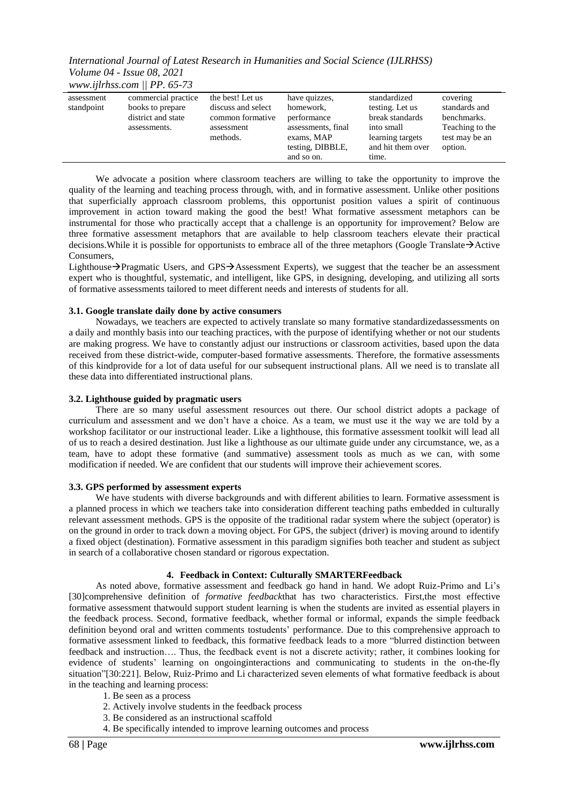*International Journal of Latest Research in Humanities and Social Science (IJLRHSS) Volume 04 - Issue 08, 2021 www.ijlrhss.com || PP. 65-73*

| .                        |                                                                               |                                                                                      |                                                                                                                 |                                                                                                                    |                                                                                          |
|--------------------------|-------------------------------------------------------------------------------|--------------------------------------------------------------------------------------|-----------------------------------------------------------------------------------------------------------------|--------------------------------------------------------------------------------------------------------------------|------------------------------------------------------------------------------------------|
| assessment<br>standpoint | commercial practice<br>books to prepare<br>district and state<br>assessments. | the best! Let us<br>discuss and select<br>common formative<br>assessment<br>methods. | have quizzes,<br>homework,<br>performance<br>assessments, final<br>exams, MAP<br>testing, DIBBLE,<br>and so on. | standardized<br>testing. Let us<br>break standards<br>into small<br>learning targets<br>and hit them over<br>time. | covering<br>standards and<br>benchmarks.<br>Teaching to the<br>test may be an<br>option. |

We advocate a position where classroom teachers are willing to take the opportunity to improve the quality of the learning and teaching process through, with, and in formative assessment. Unlike other positions that superficially approach classroom problems, this opportunist position values a spirit of continuous improvement in action toward making the good the best! What formative assessment metaphors can be instrumental for those who practically accept that a challenge is an opportunity for improvement? Below are three formative assessment metaphors that are available to help classroom teachers elevate their practical decisions. While it is possible for opportunists to embrace all of the three metaphors (Google Translate  $\rightarrow$  Active **Consumers** 

Lighthouse->Pragmatic Users, and GPS->Assessment Experts), we suggest that the teacher be an assessment expert who is thoughtful, systematic, and intelligent, like GPS, in designing, developing, and utilizing all sorts of formative assessments tailored to meet different needs and interests of students for all.

#### **3.1. Google translate daily done by active consumers**

Nowadays, we teachers are expected to actively translate so many formative standardizedassessments on a daily and monthly basis into our teaching practices, with the purpose of identifying whether or not our students are making progress. We have to constantly adjust our instructions or classroom activities, based upon the data received from these district-wide, computer-based formative assessments. Therefore, the formative assessments of this kindprovide for a lot of data useful for our subsequent instructional plans. All we need is to translate all these data into differentiated instructional plans.

#### **3.2. Lighthouse guided by pragmatic users**

There are so many useful assessment resources out there. Our school district adopts a package of curriculum and assessment and we don"t have a choice. As a team, we must use it the way we are told by a workshop facilitator or our instructional leader. Like a lighthouse, this formative assessment toolkit will lead all of us to reach a desired destination. Just like a lighthouse as our ultimate guide under any circumstance, we, as a team, have to adopt these formative (and summative) assessment tools as much as we can, with some modification if needed. We are confident that our students will improve their achievement scores.

#### **3.3. GPS performed by assessment experts**

We have students with diverse backgrounds and with different abilities to learn. Formative assessment is a planned process in which we teachers take into consideration different teaching paths embedded in culturally relevant assessment methods. GPS is the opposite of the traditional radar system where the subject (operator) is on the ground in order to track down a moving object. For GPS, the subject (driver) is moving around to identify a fixed object (destination). Formative assessment in this paradigm signifies both teacher and student as subject in search of a collaborative chosen standard or rigorous expectation.

#### **4. Feedback in Context: Culturally SMARTERFeedback**

As noted above, formative assessment and feedback go hand in hand. We adopt Ruiz-Primo and Li"s [30]comprehensive definition of *formative feedback*that has two characteristics. First,the most effective formative assessment thatwould support student learning is when the students are invited as essential players in the feedback process. Second, formative feedback, whether formal or informal, expands the simple feedback definition beyond oral and written comments tostudents' performance. Due to this comprehensive approach to formative assessment linked to feedback, this formative feedback leads to a more "blurred distinction between feedback and instruction…. Thus, the feedback event is not a discrete activity; rather, it combines looking for evidence of students" learning on ongoinginteractions and communicating to students in the on-the-fly situation"[30:221]. Below, Ruiz-Primo and Li characterized seven elements of what formative feedback is about in the teaching and learning process:

- 1. Be seen as a process
- 2. Actively involve students in the feedback process
- 3. Be considered as an instructional scaffold
- 4. Be specifically intended to improve learning outcomes and process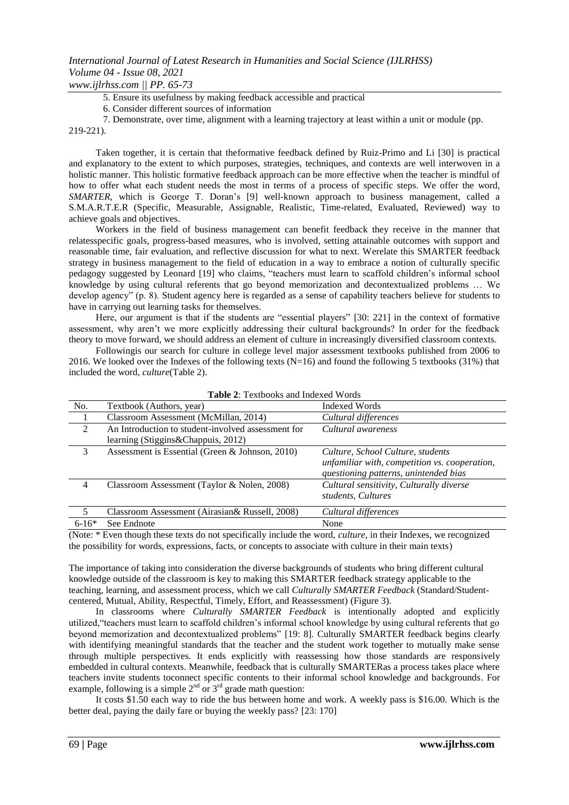5. Ensure its usefulness by making feedback accessible and practical

6. Consider different sources of information

7. Demonstrate, over time, alignment with a learning trajectory at least within a unit or module (pp. 219-221).

Taken together, it is certain that theformative feedback defined by Ruiz-Primo and Li [30] is practical and explanatory to the extent to which purposes, strategies, techniques, and contexts are well interwoven in a holistic manner. This holistic formative feedback approach can be more effective when the teacher is mindful of how to offer what each student needs the most in terms of a process of specific steps. We offer the word, *SMARTER*, which is George T. Doran"s [9] well-known approach to business management, called a S.M.A.R.T.E.R (Specific, Measurable, Assignable, Realistic, Time-related, Evaluated, Reviewed) way to achieve goals and objectives.

Workers in the field of business management can benefit feedback they receive in the manner that relatesspecific goals, progress-based measures, who is involved, setting attainable outcomes with support and reasonable time, fair evaluation, and reflective discussion for what to next. Werelate this SMARTER feedback strategy in business management to the field of education in a way to embrace a notion of culturally specific pedagogy suggested by Leonard [19] who claims, "teachers must learn to scaffold children"s informal school knowledge by using cultural referents that go beyond memorization and decontextualized problems … We develop agency" (p. 8). Student agency here is regarded as a sense of capability teachers believe for students to have in carrying out learning tasks for themselves.

Here, our argument is that if the students are "essential players" [30: 221] in the context of formative assessment, why aren"t we more explicitly addressing their cultural backgrounds? In order for the feedback theory to move forward, we should address an element of culture in increasingly diversified classroom contexts.

Followingis our search for culture in college level major assessment textbooks published from 2006 to 2016. We looked over the Indexes of the following texts (N=16) and found the following 5 textbooks (31%) that included the word, *culture*(Table 2).

| No.                                                               | Textbook (Authors, year)                                                                                                         | Indexed Words                                                                                                               |  |  |
|-------------------------------------------------------------------|----------------------------------------------------------------------------------------------------------------------------------|-----------------------------------------------------------------------------------------------------------------------------|--|--|
|                                                                   | Classroom Assessment (McMillan, 2014)                                                                                            | Cultural differences                                                                                                        |  |  |
| 2                                                                 | An Introduction to student-involved assessment for<br>learning (Stiggins&Chappuis, 2012)                                         | Cultural awareness                                                                                                          |  |  |
| 3                                                                 | Assessment is Essential (Green & Johnson, 2010)                                                                                  | Culture, School Culture, students<br>unfamiliar with, competition vs. cooperation,<br>questioning patterns, unintended bias |  |  |
| $\overline{4}$                                                    | Classroom Assessment (Taylor & Nolen, 2008)                                                                                      | Cultural sensitivity, Culturally diverse<br>students, Cultures                                                              |  |  |
| 5                                                                 | Classroom Assessment (Airasian& Russell, 2008)                                                                                   | Cultural differences                                                                                                        |  |  |
| $6-16*$                                                           | See Endnote                                                                                                                      | None                                                                                                                        |  |  |
| $\sqrt{2}$ $\sqrt{2}$ $\sqrt{2}$ $\sqrt{2}$ $\sqrt{2}$ $\sqrt{2}$ | $\sim$ $\sim$<br>the contract of the contract of the contract of the contract of the contract of the contract of the contract of | .<br>$\mathbf{1}$ $\mathbf{1}$                                                                                              |  |  |

(Note: \* Even though these texts do not specifically include the word, *culture*, in their Indexes, we recognized the possibility for words, expressions, facts, or concepts to associate with culture in their main texts)

The importance of taking into consideration the diverse backgrounds of students who bring different cultural knowledge outside of the classroom is key to making this SMARTER feedback strategy applicable to the teaching, learning, and assessment process, which we call *Culturally SMARTER Feedback* (Standard/Studentcentered, Mutual, Ability, Respectful, Timely, Effort, and Reassessment) (Figure 3).

In classrooms where *Culturally SMARTER Feedback* is intentionally adopted and explicitly utilized,"teachers must learn to scaffold children"s informal school knowledge by using cultural referents that go beyond memorization and decontextualized problems" [19: 8]. Culturally SMARTER feedback begins clearly with identifying meaningful standards that the teacher and the student work together to mutually make sense through multiple perspectives. It ends explicitly with reassessing how those standards are responsively embedded in cultural contexts. Meanwhile, feedback that is culturally SMARTERas a process takes place where teachers invite students toconnect specific contents to their informal school knowledge and backgrounds. For example, following is a simple  $2<sup>nd</sup>$  or  $3<sup>rd</sup>$  grade math question:

It costs \$1.50 each way to ride the bus between home and work. A weekly pass is \$16.00. Which is the better deal, paying the daily fare or buying the weekly pass? [23: 170]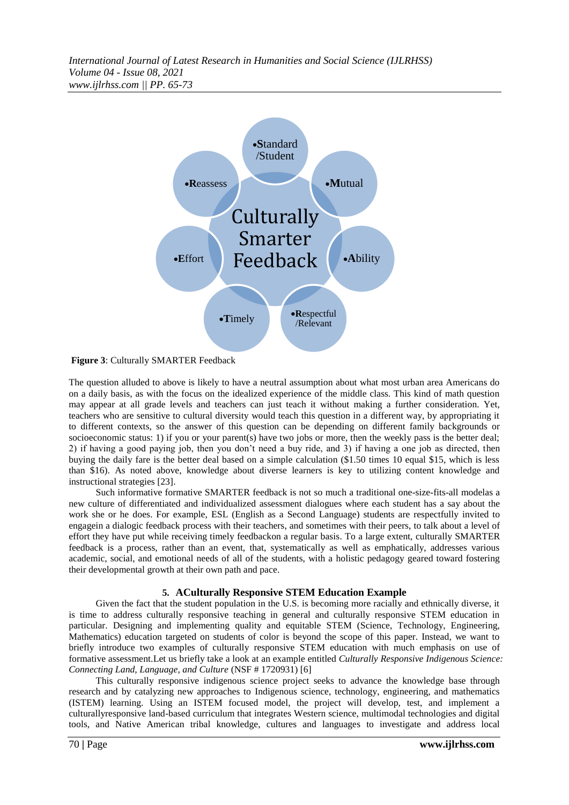

**Figure 3**: Culturally SMARTER Feedback

The question alluded to above is likely to have a neutral assumption about what most urban area Americans do on a daily basis, as with the focus on the idealized experience of the middle class. This kind of math question may appear at all grade levels and teachers can just teach it without making a further consideration. Yet, teachers who are sensitive to cultural diversity would teach this question in a different way, by appropriating it to different contexts, so the answer of this question can be depending on different family backgrounds or socioeconomic status: 1) if you or your parent(s) have two jobs or more, then the weekly pass is the better deal; 2) if having a good paying job, then you don"t need a buy ride, and 3) if having a one job as directed, then buying the daily fare is the better deal based on a simple calculation (\$1.50 times 10 equal \$15, which is less than \$16). As noted above, knowledge about diverse learners is key to utilizing content knowledge and instructional strategies [23].

Such informative formative SMARTER feedback is not so much a traditional one-size-fits-all modelas a new culture of differentiated and individualized assessment dialogues where each student has a say about the work she or he does. For example, ESL (English as a Second Language) students are respectfully invited to engagein a dialogic feedback process with their teachers, and sometimes with their peers, to talk about a level of effort they have put while receiving timely feedbackon a regular basis. To a large extent, culturally SMARTER feedback is a process, rather than an event, that, systematically as well as emphatically, addresses various academic, social, and emotional needs of all of the students, with a holistic pedagogy geared toward fostering their developmental growth at their own path and pace.

# **5. ACulturally Responsive STEM Education Example**

Given the fact that the student population in the U.S. is becoming more racially and ethnically diverse, it is time to address culturally responsive teaching in general and culturally responsive STEM education in particular. Designing and implementing quality and equitable STEM (Science, Technology, Engineering, Mathematics) education targeted on students of color is beyond the scope of this paper. Instead, we want to briefly introduce two examples of culturally responsive STEM education with much emphasis on use of formative assessment.Let us briefly take a look at an example entitled *Culturally Responsive Indigenous Science: Connecting Land, Language, and Culture* (NSF # 1720931) [6]

This culturally responsive indigenous science project seeks to advance the knowledge base through research and by catalyzing new approaches to Indigenous science, technology, engineering, and mathematics (ISTEM) learning. Using an ISTEM focused model, the project will develop, test, and implement a culturallyresponsive land-based curriculum that integrates Western science, multimodal technologies and digital tools, and Native American tribal knowledge, cultures and languages to investigate and address local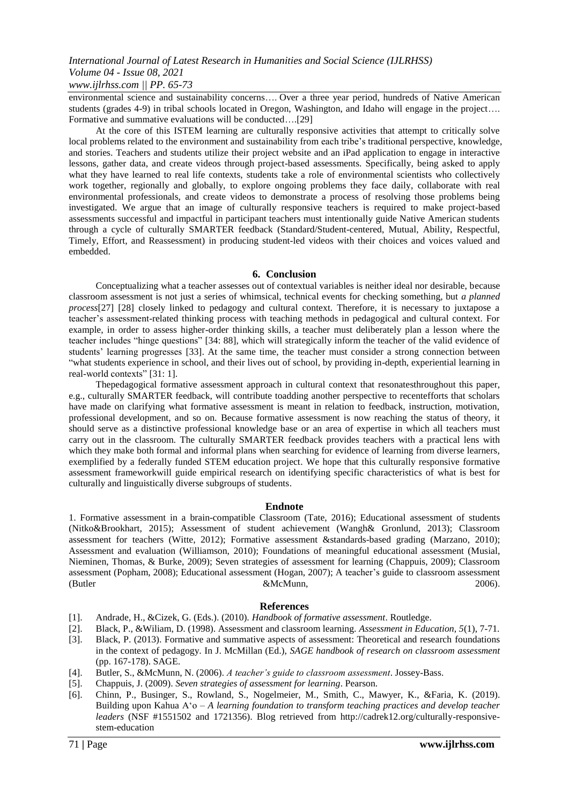# *International Journal of Latest Research in Humanities and Social Science (IJLRHSS) Volume 04 - Issue 08, 2021 www.ijlrhss.com || PP. 65-73*

environmental science and sustainability concerns…. Over a three year period, hundreds of Native American students (grades 4-9) in tribal schools located in Oregon, Washington, and Idaho will engage in the project…. Formative and summative evaluations will be conducted….[29]

At the core of this ISTEM learning are culturally responsive activities that attempt to critically solve local problems related to the environment and sustainability from each tribe's traditional perspective, knowledge, and stories. Teachers and students utilize their project website and an iPad application to engage in interactive lessons, gather data, and create videos through project-based assessments. Specifically, being asked to apply what they have learned to real life contexts, students take a role of environmental scientists who collectively work together, regionally and globally, to explore ongoing problems they face daily, collaborate with real environmental professionals, and create videos to demonstrate a process of resolving those problems being investigated. We argue that an image of culturally responsive teachers is required to make project-based assessments successful and impactful in participant teachers must intentionally guide Native American students through a cycle of culturally SMARTER feedback (Standard/Student-centered, Mutual, Ability, Respectful, Timely, Effort, and Reassessment) in producing student-led videos with their choices and voices valued and embedded.

#### **6. Conclusion**

Conceptualizing what a teacher assesses out of contextual variables is neither ideal nor desirable, because classroom assessment is not just a series of whimsical, technical events for checking something, but *a planned process*[27] [28] closely linked to pedagogy and cultural context. Therefore, it is necessary to juxtapose a teacher"s assessment-related thinking process with teaching methods in pedagogical and cultural context. For example, in order to assess higher-order thinking skills, a teacher must deliberately plan a lesson where the teacher includes "hinge questions" [34: 88], which will strategically inform the teacher of the valid evidence of students" learning progresses [33]. At the same time, the teacher must consider a strong connection between "what students experience in school, and their lives out of school, by providing in-depth, experiential learning in real-world contexts" [31: 1].

Thepedagogical formative assessment approach in cultural context that resonatesthroughout this paper, e.g., culturally SMARTER feedback, will contribute toadding another perspective to recentefforts that scholars have made on clarifying what formative assessment is meant in relation to feedback, instruction, motivation, professional development, and so on. Because formative assessment is now reaching the status of theory, it should serve as a distinctive professional knowledge base or an area of expertise in which all teachers must carry out in the classroom. The culturally SMARTER feedback provides teachers with a practical lens with which they make both formal and informal plans when searching for evidence of learning from diverse learners, exemplified by a federally funded STEM education project. We hope that this culturally responsive formative assessment frameworkwill guide empirical research on identifying specific characteristics of what is best for culturally and linguistically diverse subgroups of students.

#### **Endnote**

1. Formative assessment in a brain-compatible Classroom (Tate, 2016); Educational assessment of students (Nitko&Brookhart, 2015); Assessment of student achievement (Wangh& Gronlund, 2013); Classroom assessment for teachers (Witte, 2012); Formative assessment &standards-based grading (Marzano, 2010); Assessment and evaluation (Williamson, 2010); Foundations of meaningful educational assessment (Musial, Nieminen, Thomas, & Burke, 2009); Seven strategies of assessment for learning (Chappuis, 2009); Classroom assessment (Popham, 2008); Educational assessment (Hogan, 2007); A teacher's guide to classroom assessment (Butler 2006). (Butler 2006).

#### **References**

- [1]. Andrade, H., &Cizek, G. (Eds.). (2010). *Handbook of formative assessment*. Routledge.
- [2]. Black, P., &Wiliam, D. (1998). Assessment and classroom learning. *Assessment in Education, 5*(1), 7-71.
- [3]. Black, P. (2013). Formative and summative aspects of assessment: Theoretical and research foundations in the context of pedagogy. In J. McMillan (Ed.), *SAGE handbook of research on classroom assessment* (pp. 167-178). SAGE.
- [4]. Butler, S., &McMunn, N. (2006). *A teacher's guide to classroom assessment*. Jossey-Bass.
- [5]. Chappuis, J. (2009). *Seven strategies of assessment for learning*. Pearson.
- [6]. Chinn, P., Businger, S., Rowland, S., Nogelmeier, M., Smith, C., Mawyer, K., &Faria, K. (2019). Building upon Kahua A"o – *A learning foundation to transform teaching practices and develop teacher leaders* (NSF #1551502 and 1721356). Blog retrieved from http://cadrek12.org/culturally-responsivestem-education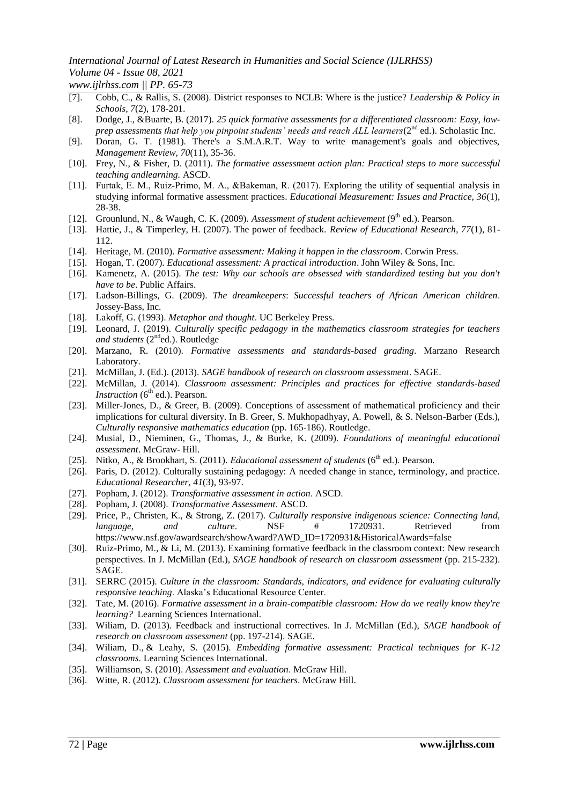# *International Journal of Latest Research in Humanities and Social Science (IJLRHSS) Volume 04 - Issue 08, 2021*

*www.ijlrhss.com || PP. 65-73*

- [7]. Cobb, C., & Rallis, S. (2008). District responses to NCLB: Where is the justice? *Leadership & Policy in Schools, 7*(2), 178-201.
- [8]. Dodge, J., &Buarte, B. (2017). *25 quick formative assessments for a differentiated classroom: Easy, lowprep assessments that help you pinpoint students' needs and reach ALL learners*( $2^{nd}$  ed.). Scholastic Inc.
- [9]. Doran, G. T. (1981). There's a S.M.A.R.T. Way to write management's goals and objectives, *Management Review, 70*(11), 35-36.
- [10]. Frey, N., & Fisher, D. (2011). *The formative assessment action plan: Practical steps to more successful teaching andlearning.* ASCD.
- [11]. Furtak, E. M., Ruiz‐Primo, M. A., &Bakeman, R. (2017). Exploring the utility of sequential analysis in studying informal formative assessment practices. *Educational Measurement: Issues and Practice, 36*(1), 28-38.
- [12]. Grounlund, N., & Waugh, C. K. (2009). *Assessment of student achievement* (9<sup>th</sup> ed.). Pearson.
- [13]. Hattie, J., & Timperley, H. (2007). The power of feedback. *Review of Educational Research, 77*(1), 81- 112.
- [14]. Heritage, M. (2010). *Formative assessment: Making it happen in the classroom*. Corwin Press.
- [15]. Hogan, T. (2007). *Educational assessment: A practical introduction*. John Wiley & Sons, Inc.
- [16]. Kamenetz, A. (2015). *The test: Why our schools are obsessed with standardized testing but you don't have to be*. Public Affairs.
- [17]. Ladson-Billings, G. (2009). *The dreamkeepers*: *Successful teachers of African American children*. Jossey-Bass, Inc.
- [18]. Lakoff, G. (1993). *Metaphor and thought*. UC Berkeley Press.
- [19]. Leonard, J. (2019). *Culturally specific pedagogy in the mathematics classroom strategies for teachers and students* (2<sup>nd</sup>ed.). Routledge
- [20]. Marzano, R. (2010). *Formative assessments and standards-based grading*. Marzano Research Laboratory.
- [21]. McMillan, J. (Ed.). (2013). *SAGE handbook of research on classroom assessment*. SAGE.
- [22]. McMillan, J. (2014). *Classroom assessment: Principles and practices for effective standards-based Instruction*  $(6<sup>th</sup>$  ed.). Pearson.
- [23]. Miller-Jones, D., & Greer, B. (2009). Conceptions of assessment of mathematical proficiency and their implications for cultural diversity. In B. Greer, S. Mukhopadhyay, A. Powell, & S. Nelson-Barber (Eds.), *Culturally responsive mathematics education* (pp. 165-186). Routledge.
- [24]. Musial, D., Nieminen, G., Thomas, J., & Burke, K. (2009). *Foundations of meaningful educational assessment*. McGraw- Hill.
- [25]. Nitko, A., & Brookhart, S. (2011). *Educational assessment of students* (6<sup>th</sup> ed.). Pearson.
- [26]. Paris, D. (2012). Culturally sustaining pedagogy: A needed change in stance, terminology, and practice. *Educational Researcher, 41*(3), 93-97.
- [27]. Popham, J. (2012). *Transformative assessment in action*. ASCD.
- [28]. Popham, J. (2008). *Transformative Assessment*. ASCD.
- [29]. Price, P., Christen, K., & Strong, Z. (2017). *Culturally responsive indigenous science: Connecting land, language, and culture*. NSF # 1720931. Retrieved from https://www.nsf.gov/awardsearch/showAward?AWD\_ID=1720931&HistoricalAwards=false
- [30]. Ruiz-Primo, M., & Li, M. (2013). Examining formative feedback in the classroom context: New research perspectives. In J. McMillan (Ed.), *SAGE handbook of research on classroom assessment* (pp. 215-232). SAGE.
- [31]. SERRC (2015). *Culture in the classroom: Standards, indicators, and evidence for evaluating culturally responsive teaching*. Alaska"s Educational Resource Center.
- [32]. Tate, M. (2016). *Formative assessment in a brain-compatible classroom: How do we really know they're learning?* Learning Sciences International.
- [33]. Wiliam, D. (2013). Feedback and instructional correctives. In J. McMillan (Ed.), *SAGE handbook of research on classroom assessment* (pp. 197-214). SAGE.
- [34]. Wiliam, D., & Leahy, S. (2015). *Embedding formative assessment: Practical techniques for K-12 classrooms*. Learning Sciences International.
- [35]. Williamson, S. (2010). *Assessment and evaluation*. McGraw Hill.
- [36]. Witte, R. (2012). *Classroom assessment for teachers*. McGraw Hill.